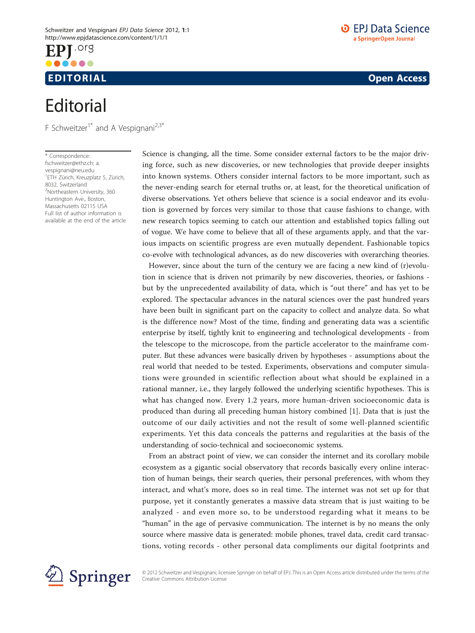

# **Editorial**

F Schweitzer<sup>1\*</sup> and A Vespignani<sup>2,3\*</sup>

\* Correspondence: [fschweitzer@ethz.ch;](mailto:fschweitzer@ethz.ch) [a.](mailto:a.vespignani@neu.edu) [vespignani@neu.edu](mailto:a.vespignani@neu.edu) 1 ETH Zürich, Kreuzplatz 5, Zürich, 8032, Switzerland <sup>2</sup>Northeastern University, 360 Huntington Ave., Boston, Massachusetts 02115 USA Full list of author information is available at the end of the article Science is changing, all the time. Some consider external factors to be the major driving force, such as new discoveries, or new technologies that provide deeper insights into known systems. Others consider internal factors to be more important, such as the never-ending search for eternal truths or, at least, for the theoretical unification of diverse observations. Yet others believe that science is a social endeavor and its evolution is governed by forces very similar to those that cause fashions to change, with new research topics seeming to catch our attention and established topics falling out

of vogue. We have come to believe that all of these arguments apply, and that the various impacts on scientific progress are even mutually dependent. Fashionable topics co-evolve with technological advances, as do new discoveries with overarching theories.

However, since about the turn of the century we are facing a new kind of (r)evolution in science that is driven not primarily by new discoveries, theories, or fashions but by the unprecedented availability of data, which is "out there" and has yet to be explored. The spectacular advances in the natural sciences over the past hundred years have been built in significant part on the capacity to collect and analyze data. So what is the difference now? Most of the time, finding and generating data was a scientific enterprise by itself, tightly knit to engineering and technological developments - from the telescope to the microscope, from the particle accelerator to the mainframe computer. But these advances were basically driven by hypotheses - assumptions about the real world that needed to be tested. Experiments, observations and computer simulations were grounded in scientific reflection about what should be explained in a rational manner, i.e., they largely followed the underlying scientific hypotheses. This is what has changed now. Every 1.2 years, more human-driven socioeconomic data is produced than during all preceding human history combined [\[1](#page-3-0)]. Data that is just the outcome of our daily activities and not the result of some well-planned scientific experiments. Yet this data conceals the patterns and regularities at the basis of the understanding of socio-technical and socioeconomic systems.

From an abstract point of view, we can consider the internet and its corollary mobile ecosystem as a gigantic social observatory that records basically every online interaction of human beings, their search queries, their personal preferences, with whom they interact, and what's more, does so in real time. The internet was not set up for that purpose, yet it constantly generates a massive data stream that is just waiting to be analyzed - and even more so, to be understood regarding what it means to be "human" in the age of pervasive communication. The internet is by no means the only source where massive data is generated: mobile phones, travel data, credit card transactions, voting records - other personal data compliments our digital footprints and



© 2012 Schweitzer and Vespignani; licensee Springer on behalf of EPJ. This is an Open Access article distributed under the terms of the Creative Commons Attribution License

# EDITORIAL CONTRACT CONTRACT CONTRACT CONTRACT CONTRACT CONTRACT CONTRACT CONTRACT CONTRACT CONTRACT CONTRACT CO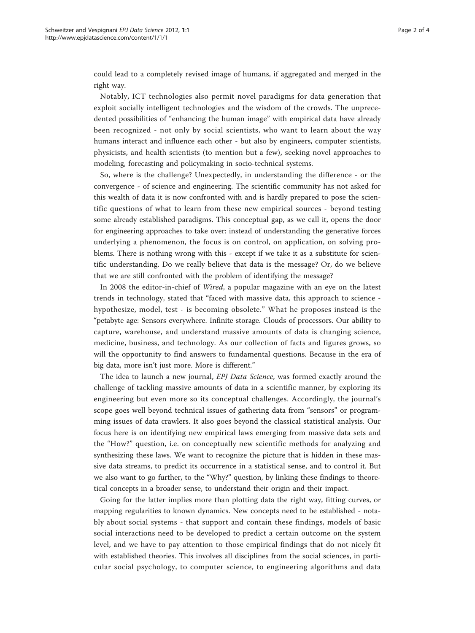could lead to a completely revised image of humans, if aggregated and merged in the right way.

Notably, ICT technologies also permit novel paradigms for data generation that exploit socially intelligent technologies and the wisdom of the crowds. The unprecedented possibilities of "enhancing the human image" with empirical data have already been recognized - not only by social scientists, who want to learn about the way humans interact and influence each other - but also by engineers, computer scientists, physicists, and health scientists (to mention but a few), seeking novel approaches to modeling, forecasting and policymaking in socio-technical systems.

So, where is the challenge? Unexpectedly, in understanding the difference - or the convergence - of science and engineering. The scientific community has not asked for this wealth of data it is now confronted with and is hardly prepared to pose the scientific questions of what to learn from these new empirical sources - beyond testing some already established paradigms. This conceptual gap, as we call it, opens the door for engineering approaches to take over: instead of understanding the generative forces underlying a phenomenon, the focus is on control, on application, on solving problems. There is nothing wrong with this - except if we take it as a substitute for scientific understanding. Do we really believe that data is the message? Or, do we believe that we are still confronted with the problem of identifying the message?

In 2008 the editor-in-chief of Wired, a popular magazine with an eye on the latest trends in technology, stated that "faced with massive data, this approach to science hypothesize, model, test - is becoming obsolete." What he proposes instead is the "petabyte age: Sensors everywhere. Infinite storage. Clouds of processors. Our ability to capture, warehouse, and understand massive amounts of data is changing science, medicine, business, and technology. As our collection of facts and figures grows, so will the opportunity to find answers to fundamental questions. Because in the era of big data, more isn't just more. More is different."

The idea to launch a new journal, EPJ Data Science, was formed exactly around the challenge of tackling massive amounts of data in a scientific manner, by exploring its engineering but even more so its conceptual challenges. Accordingly, the journal's scope goes well beyond technical issues of gathering data from "sensors" or programming issues of data crawlers. It also goes beyond the classical statistical analysis. Our focus here is on identifying new empirical laws emerging from massive data sets and the "How?" question, i.e. on conceptually new scientific methods for analyzing and synthesizing these laws. We want to recognize the picture that is hidden in these massive data streams, to predict its occurrence in a statistical sense, and to control it. But we also want to go further, to the "Why?" question, by linking these findings to theoretical concepts in a broader sense, to understand their origin and their impact.

Going for the latter implies more than plotting data the right way, fitting curves, or mapping regularities to known dynamics. New concepts need to be established - notably about social systems - that support and contain these findings, models of basic social interactions need to be developed to predict a certain outcome on the system level, and we have to pay attention to those empirical findings that do not nicely fit with established theories. This involves all disciplines from the social sciences, in particular social psychology, to computer science, to engineering algorithms and data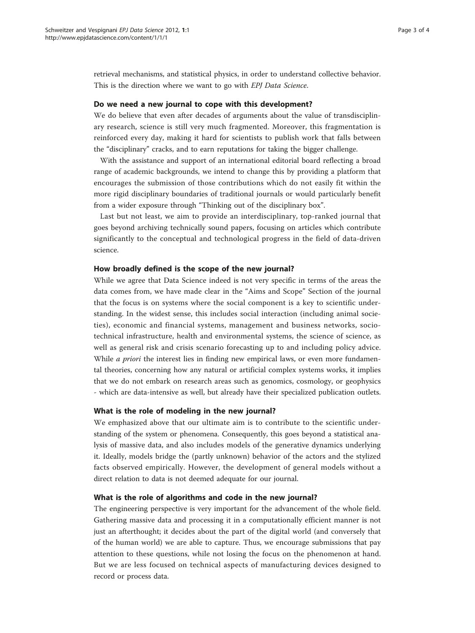retrieval mechanisms, and statistical physics, in order to understand collective behavior. This is the direction where we want to go with EPJ Data Science.

## Do we need a new journal to cope with this development?

We do believe that even after decades of arguments about the value of transdisciplinary research, science is still very much fragmented. Moreover, this fragmentation is reinforced every day, making it hard for scientists to publish work that falls between the "disciplinary" cracks, and to earn reputations for taking the bigger challenge.

With the assistance and support of an international editorial board reflecting a broad range of academic backgrounds, we intend to change this by providing a platform that encourages the submission of those contributions which do not easily fit within the more rigid disciplinary boundaries of traditional journals or would particularly benefit from a wider exposure through "Thinking out of the disciplinary box".

Last but not least, we aim to provide an interdisciplinary, top-ranked journal that goes beyond archiving technically sound papers, focusing on articles which contribute significantly to the conceptual and technological progress in the field of data-driven science.

## How broadly defined is the scope of the new journal?

While we agree that Data Science indeed is not very specific in terms of the areas the data comes from, we have made clear in the "Aims and Scope" Section of the journal that the focus is on systems where the social component is a key to scientific understanding. In the widest sense, this includes social interaction (including animal societies), economic and financial systems, management and business networks, sociotechnical infrastructure, health and environmental systems, the science of science, as well as general risk and crisis scenario forecasting up to and including policy advice. While  $a$  priori the interest lies in finding new empirical laws, or even more fundamental theories, concerning how any natural or artificial complex systems works, it implies that we do not embark on research areas such as genomics, cosmology, or geophysics - which are data-intensive as well, but already have their specialized publication outlets.

## What is the role of modeling in the new journal?

We emphasized above that our ultimate aim is to contribute to the scientific understanding of the system or phenomena. Consequently, this goes beyond a statistical analysis of massive data, and also includes models of the generative dynamics underlying it. Ideally, models bridge the (partly unknown) behavior of the actors and the stylized facts observed empirically. However, the development of general models without a direct relation to data is not deemed adequate for our journal.

#### What is the role of algorithms and code in the new journal?

The engineering perspective is very important for the advancement of the whole field. Gathering massive data and processing it in a computationally efficient manner is not just an afterthought; it decides about the part of the digital world (and conversely that of the human world) we are able to capture. Thus, we encourage submissions that pay attention to these questions, while not losing the focus on the phenomenon at hand. But we are less focused on technical aspects of manufacturing devices designed to record or process data.